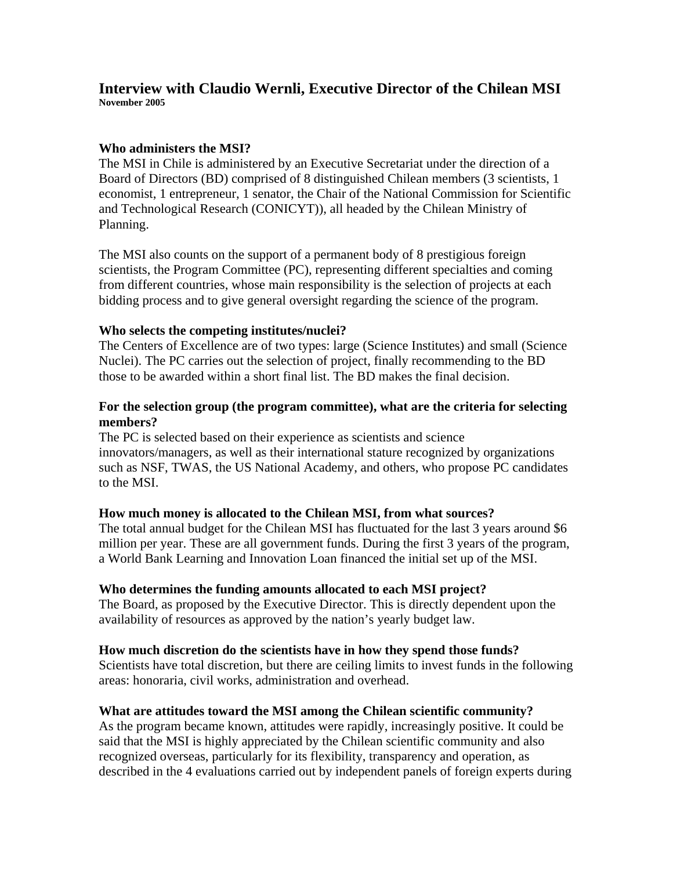#### **Interview with Claudio Wernli, Executive Director of the Chilean MSI November 2005**

#### **Who administers the MSI?**

The MSI in Chile is administered by an Executive Secretariat under the direction of a Board of Directors (BD) comprised of 8 distinguished Chilean members (3 scientists, 1 economist, 1 entrepreneur, 1 senator, the Chair of the National Commission for Scientific and Technological Research (CONICYT)), all headed by the Chilean Ministry of Planning.

The MSI also counts on the support of a permanent body of 8 prestigious foreign scientists, the Program Committee (PC), representing different specialties and coming from different countries, whose main responsibility is the selection of projects at each bidding process and to give general oversight regarding the science of the program.

#### **Who selects the competing institutes/nuclei?**

The Centers of Excellence are of two types: large (Science Institutes) and small (Science Nuclei). The PC carries out the selection of project, finally recommending to the BD those to be awarded within a short final list. The BD makes the final decision.

# **For the selection group (the program committee), what are the criteria for selecting members?**

The PC is selected based on their experience as scientists and science innovators/managers, as well as their international stature recognized by organizations such as NSF, TWAS, the US National Academy, and others, who propose PC candidates to the MSI.

# **How much money is allocated to the Chilean MSI, from what sources?**

The total annual budget for the Chilean MSI has fluctuated for the last 3 years around \$6 million per year. These are all government funds. During the first 3 years of the program, a World Bank Learning and Innovation Loan financed the initial set up of the MSI.

# **Who determines the funding amounts allocated to each MSI project?**

The Board, as proposed by the Executive Director. This is directly dependent upon the availability of resources as approved by the nation's yearly budget law.

#### **How much discretion do the scientists have in how they spend those funds?**

Scientists have total discretion, but there are ceiling limits to invest funds in the following areas: honoraria, civil works, administration and overhead.

# **What are attitudes toward the MSI among the Chilean scientific community?**

As the program became known, attitudes were rapidly, increasingly positive. It could be said that the MSI is highly appreciated by the Chilean scientific community and also recognized overseas, particularly for its flexibility, transparency and operation, as described in the 4 evaluations carried out by independent panels of foreign experts during